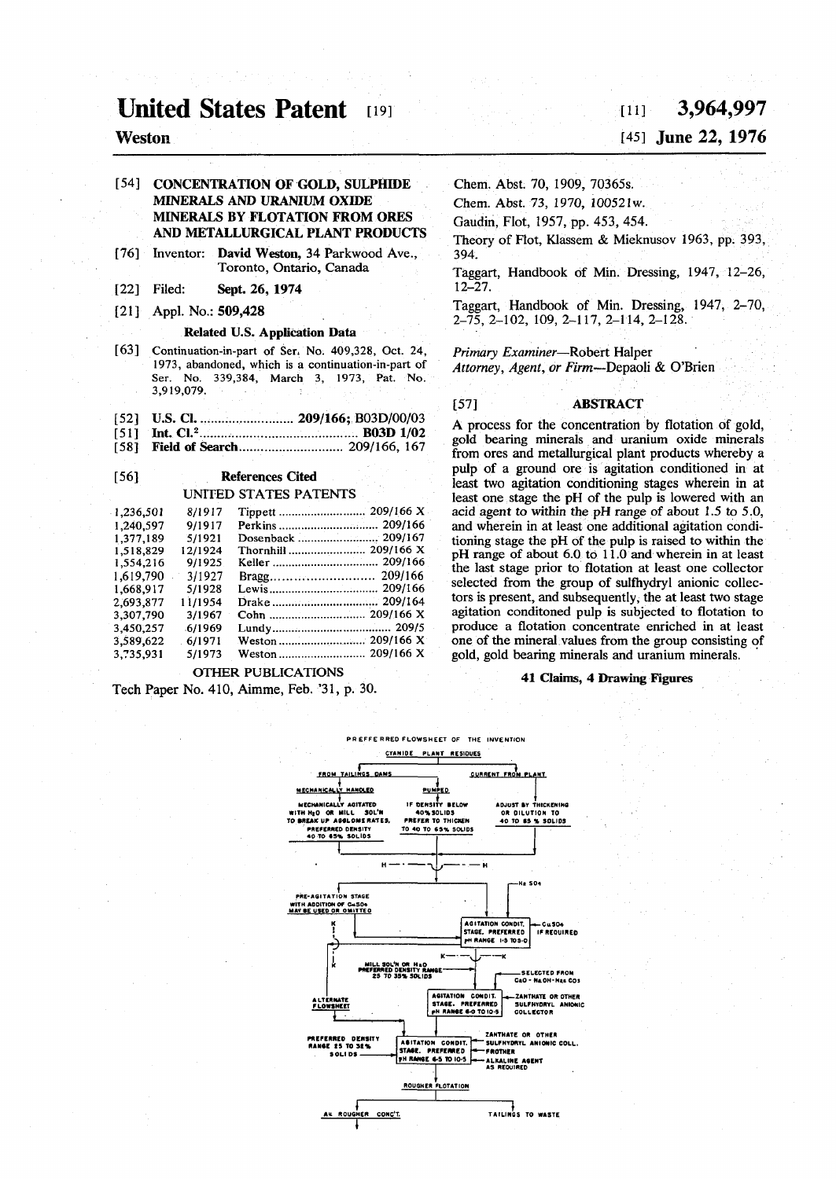# **United States Patent [19]**

# **Weston**

# [54] CONCENTRATION OF GOLD, SULPHIDE MINERALS AND URANIUM OXIDE MINERALS BY FLOTATION FROM ORES AND METALLURGICAL PLANT PRODUCTS

- [76] Inventor: David Weston, 34 Parkwood Ave., Toronto, Ontario, Canada
- [22] Filed: Sept. 26, 1974
- [21] Appl. No.: **509,428**

### Related U.S. Application Data

- [63] **Continuation-in-part of Sen No. 409,328, Oct. 24, 1973, abandoned, which is a continuation-in-part of Ser. No. 339,384, March 3, 1973, Pat. No. 3,919,079.**
- [52] U.S. CI **209/166;** B03D/00/03
- [51] Int. CI.<sup>2</sup> B03D1/02
- [58] Field of Search 209/166, 167

# [56] References Cited UNITED STATES PATENTS

| 1,236,501 | 8/1917   | Tippett  209/166 X   |
|-----------|----------|----------------------|
| 1,240,597 | 9/1917   |                      |
| 1.377.189 | 5/1921   | Dosenback  209/167   |
| 1,518,829 | 12/1924  | Thornhill  209/166 X |
| 1,554,216 | 9/1925   |                      |
| 1,619,790 | 3/1927   |                      |
| 1.668.917 | 5/1928   |                      |
| 2.693.877 | 1 1/1954 |                      |
| 3,307,790 | 3/1967   |                      |
| 3,450,257 | 6/1969   |                      |
| 3,589,622 | 6/1971   |                      |
| 3.735.931 | 5/1973   |                      |
|           |          |                      |

### OTHER PUBLICATIONS

Tech Paper No. 410, Aimme, Feb. '31, p. 30.

# **[ i n 3,964,99 7**

# **[45] June** *22,* **1976**

Chem. Abst. 70, 1909, 70365s.

Chem. Abst. 73, 1970, 100521w.

Gaudin, Flot, 1957, pp. 453, 454.

Theory of Flot, Klassem & Mieknusov 1963, pp. 393, 394.

Taggart, Handbook of Min. Dressing, 1947, 12-26, 12-27.

Taggart, Handbook of Min. Dressing, 1947, 2-70, 2-75, 2-102, 109, 2-117, 2-114, 2-128.

**Primary Examiner—Robert Halper** 

*Attorney, Agent, or Firm—*Depaoli & O'Brien

# [57] ABSTRACT

A process for the concentration by flotation of gold, gold bearing minerals and uranium oxide minerals from ores and metallurgical plant products whereby a pulp of a ground ore is agitation conditioned in at least two agitation conditioning stages wherein in at least one stage the pH of the pulp is lowered with an acid agent to within the pH range of about 1.5 to 5.0, and wherein in at least one additional agitation conditioning stage the pH of the pulp is raised to within the pH range of about 6.0 to 11.0 and wherein in at least the last stage prior to flotation at least one collector selected from the group of sulfhydryl anionic collectors is present, and subsequently, the at least two stage agitation conditoned pulp is subjected to flotation to produce a flotation concentrate enriched in at least one of the mineral values from the group consisting of gold, gold bearing minerals and uranium minerals.

### **41 Claims, 4 Drawing Figures**

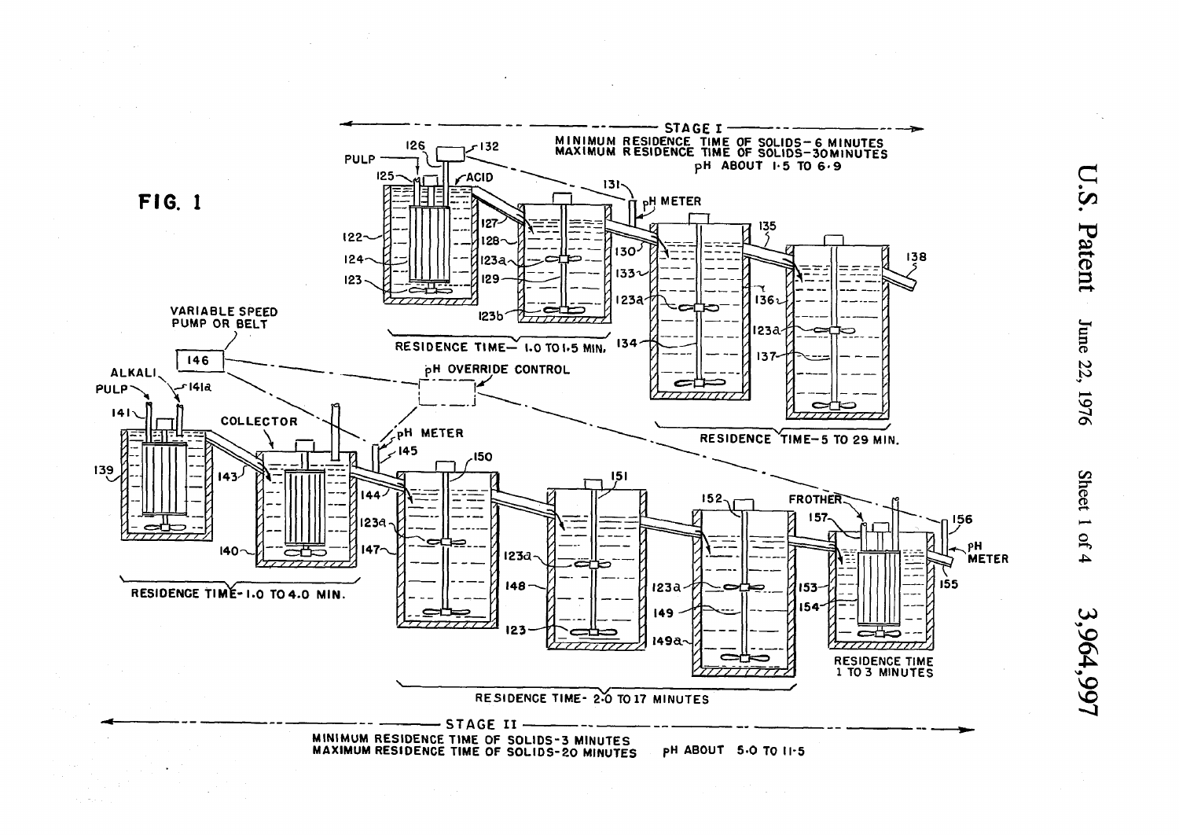

**D** 0  $\boldsymbol{\omega}$  $\boldsymbol{\sigma}$ 5 *e*  3 CI **to to**  يې  $\sim$ 

 $\sigma$ 

Shee  $\mathfrak{g}$  $\blacktriangle$  $\checkmark$ VO ON v\* **VO** 

v o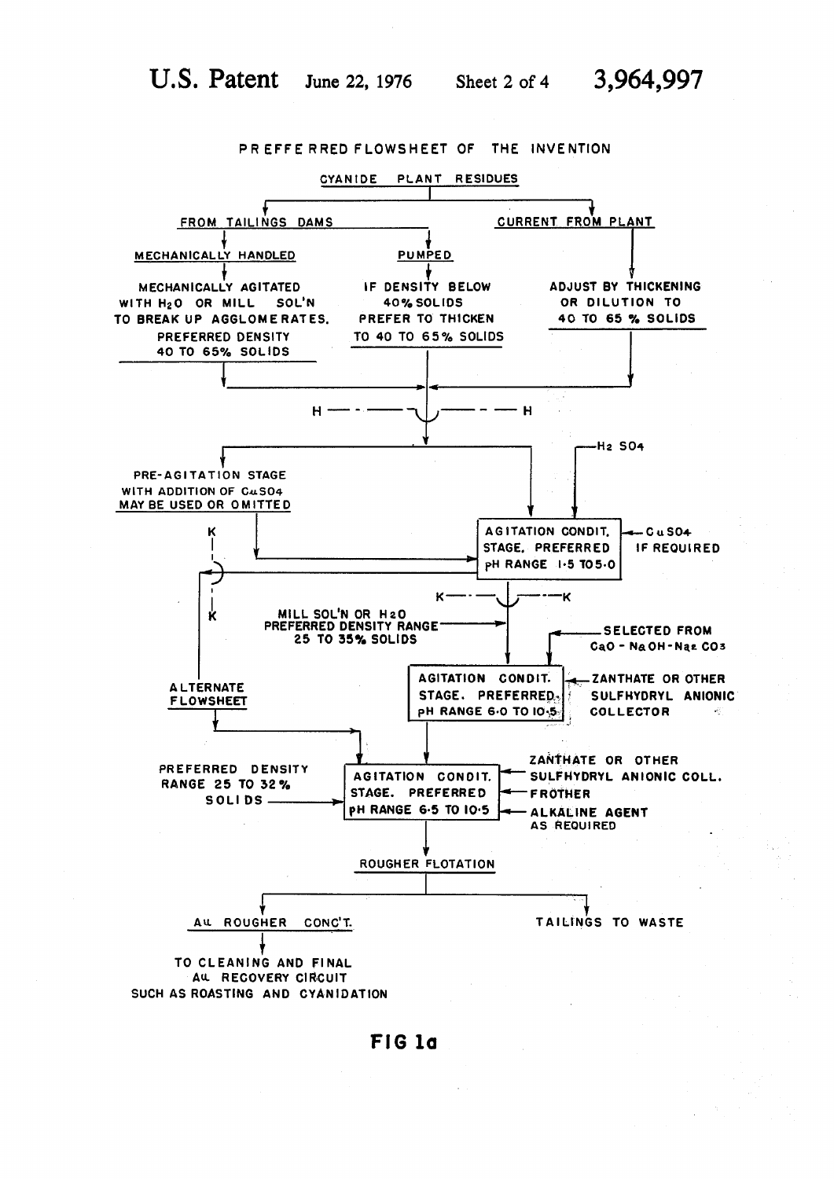

**PR EFFE RRED FLOWSHEET OF THE INVENTION** 

**FIG***<sup>l</sup> <sup>a</sup>*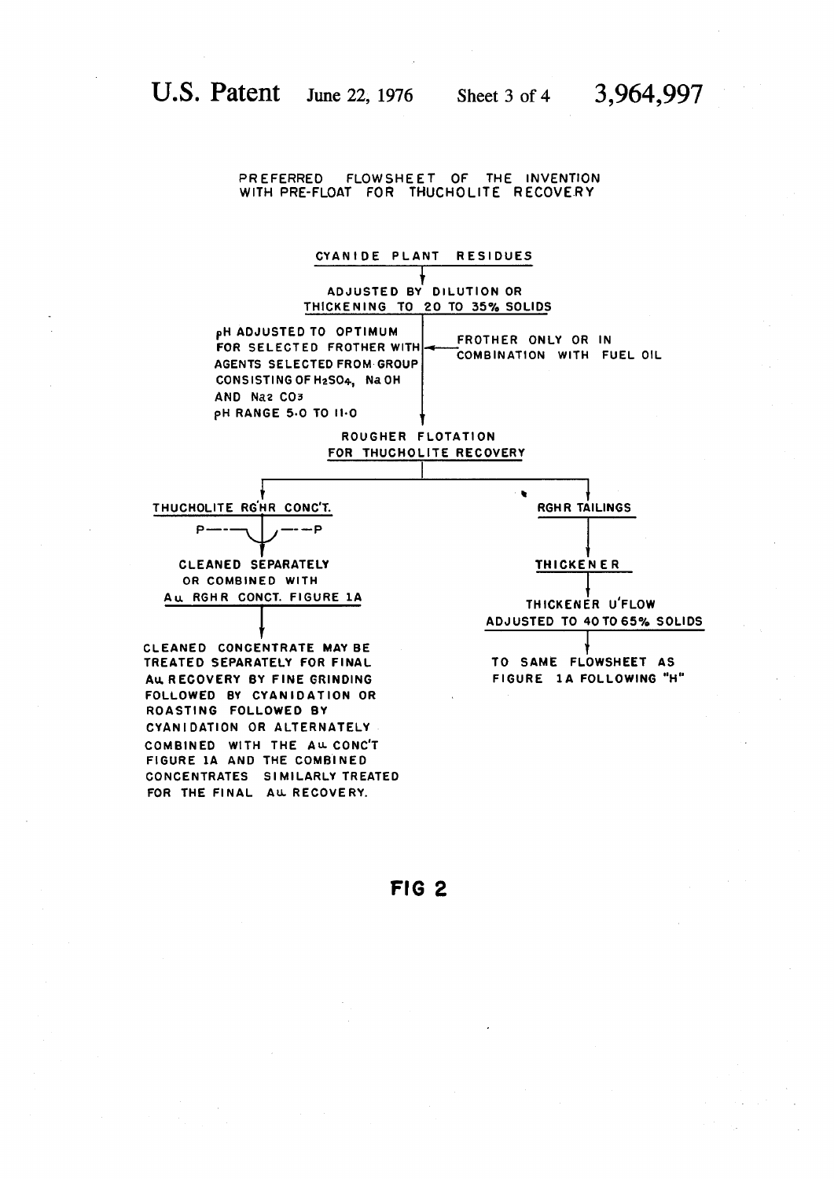# **PREFERRED FLOWSHEET OF THE INVENTION**  WITH PRE-FLOAT FOR THUCHOLITE RECOVERY



# **FIG 2**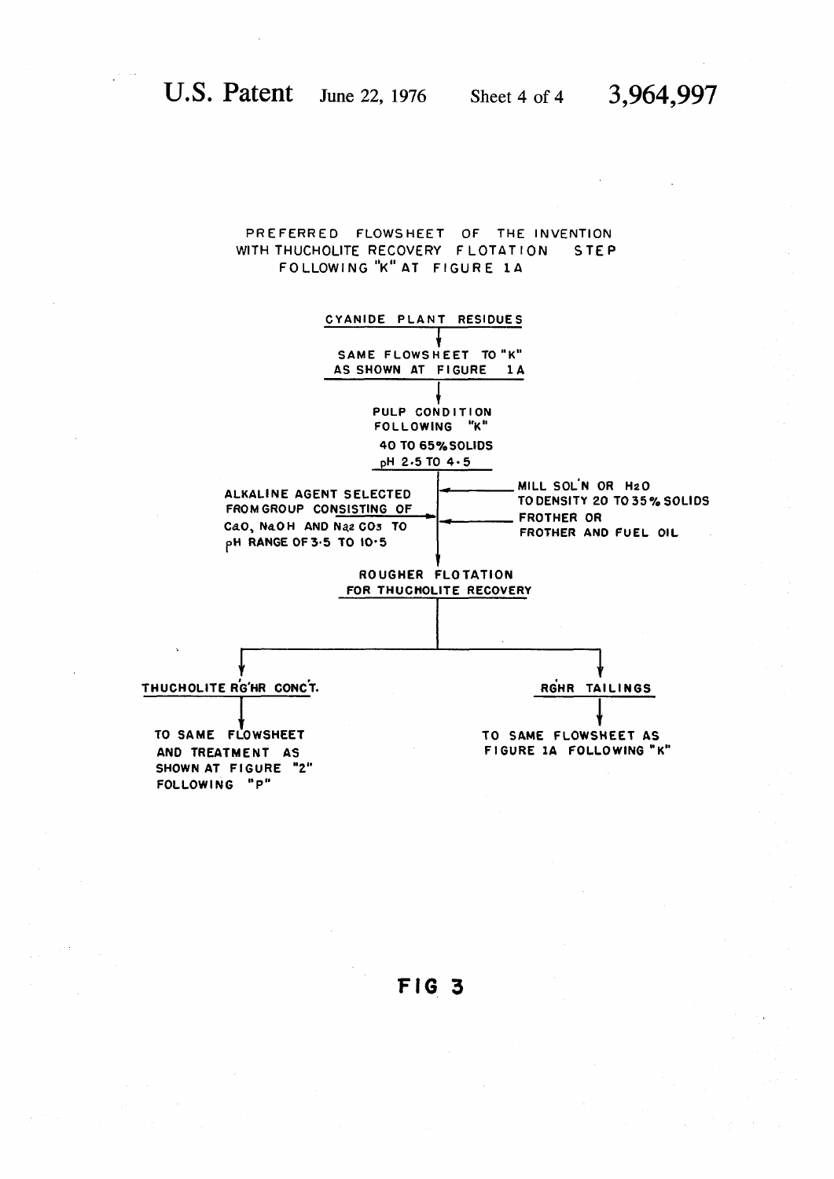# PREFERRED FLOWSHEET OF THE INVENTION WITH THUCHOLITE RECOVERY FLOTATION STEP **FOLLOWIN G "K" AT FIGUR E 1A**

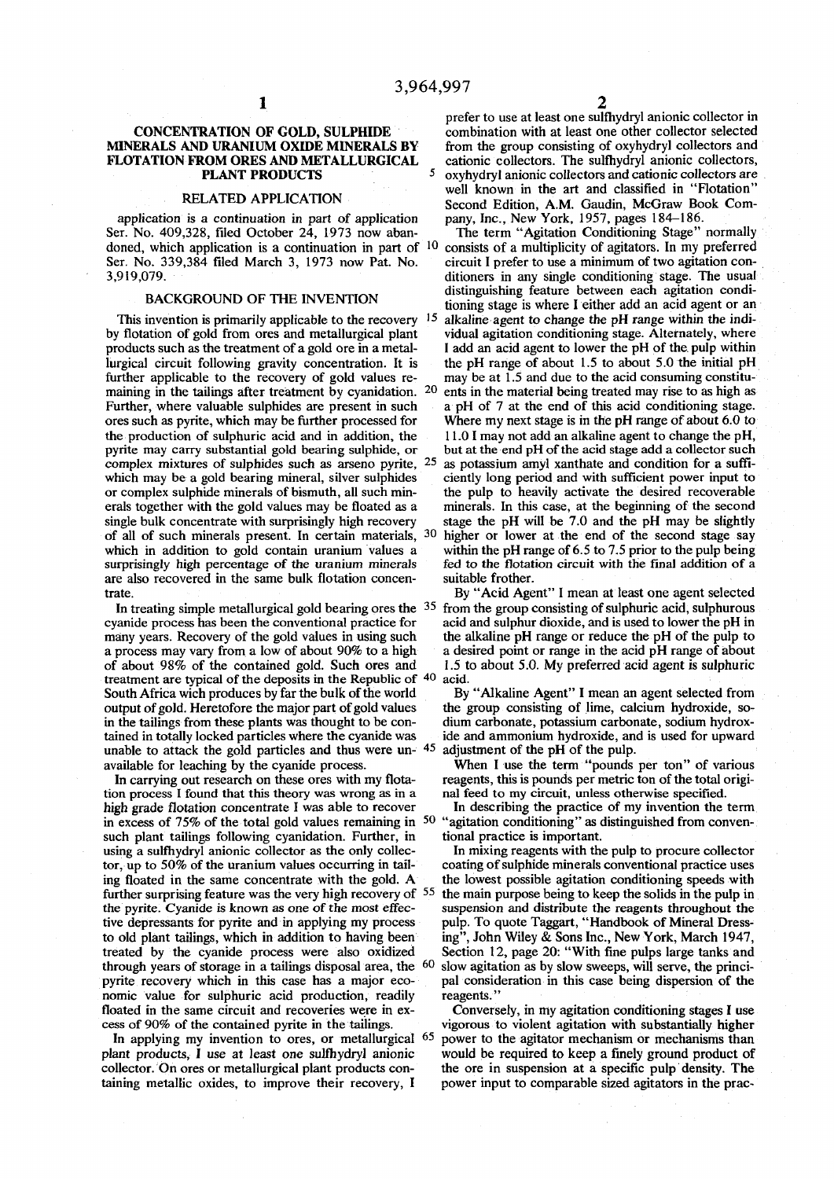# **MINERALS AND URANIUM OXIDE MINERALS BY** from the group consisting of oxyhydryl collectors and **FLOTATION FROM ORES AND METALLURGICAL** eationic collectors. The sulfhydryl anionic collectors, **PLANT PRODUCTS**

**application is a continuation in part of application pany, Inc., New York, 1957, pages 184-186.**  Ser. No. 409,328, filed October 24, 1973 now aban**doned, which application is a continuation in part of 1 0** Ser. No. 339,384 filed March 3, 1973 now Pat. No. 3,919,079.

**This invention is primarily applicable to the recovery 15 by flotation of gold from ores and metallurgical plant vidual agitation conditioning stage. Alternately, where products such as the treatment of a gold ore in a metal- I add an acid agent to lower the pH of the pulp within lurgical circuit following gravity concentration. It is the pH range of about 1.5 to about 5.0 the initial pH**  further applicable to the recovery of gold values re**maining in the tailings after treatment by cyanidation. 2 0** pyrite may carry substantial gold bearing sulphide, or complex mixtures of sulphides such as arseno pyrite, 2<sup>4</sup> single bulk concentrate with surprisingly high recovery **of all of such minerals present. In certain materials, 3 0** surprisingly high percentage of the uranium minerals fed to the flotat are also recovered in the same bulk flotation concen-<br>suitable frother. are also recovered in the same bulk flotation concen**trate. By "Acid Agent" I mean at least one agent selected** 

**In treating simple metallurgical gold bearing ores the 3 5 treatment are typical of the deposits in the Republic of 4 0 South Africa wich produces by far the bulk of the world** By "Alkaline Agent" I mean an agent selected from output of gold. Heretofore the major part of gold values the group consisting of lime, calcium hydroxide, sooutput of gold. Heretofore the major part of gold values in the tailings from these plants was thought to be con-<br>tained in totally locked particles where the cyanide was ide and ammonium hydroxide, and is used for upward **unable to attack the gold particles and thus were un- 4 5**

In carrying out research on these ores with my flota-reagents, this is pounds per metric ton of the total or process I found that this theory was wrong as in a nal feed to my circuit, unless otherwise specified. tion process I found that this theory was wrong as in a nal feed to my circuit, unless otherwise specified.<br>
high grade flotation concentrate I was able to recover In describing the practice of my invention the term high grade flotation concentrate I was able to recover **in excess of 75% of the total gold values remaining in 5 0** such plant tailings following cyanidation. Further, in tional practice is important.<br>
using a sulfhydryl anionic collector as the only collec-<br>
In mixing reagents with the pulp to procure collector using a sulfhydryl anionic collector as the only collec-<br>tor, up to 50% of the uranium values occurring in tail-<br>coating of sulphide minerals conventional practice uses tor, up to 50% of the uranium values occurring in tailing floated in the same concentrate with the gold. A the lowest possible agitation conditioning speeds with **further surprising feature was the very high recovery of 5 5 the pyrite. Cyanide is known as one of the most effec- suspension and distribute the reagents throughout the**  five depressants for pyrite and in applying my process **to old plant tailings, which in addition to having been ing", John Wiley & Sons Inc., New York, March 1947, treated by the cyanide process were also oxidized Section 12, page 20: "With fine pulps large tanks and**  through years of storage in a tailings disposal area, the <sup>60</sup> slow agitation as by slow sweeps, will serve, the princi-<br>pyrite recovery which in this case has a major eco-<br>pal consideration in this case being dispersion o pyrite recovery which in this case has a major eco**nomic value for sulphuric acid production, readily reagents." floated in the same circuit and recoveries were in ex- Conversely, in my agitation conditioning stages I use** 

In applying my invention to ores, or metallurgical <sup>6</sup> **taining metallic oxides, to improve their recovery, I power input to comparable sized agitators in the prac-**

**1 prefer to use at least one sulfhydryl anionic collector in CONCENTRATION OF GOLD, SULPHIDE** combination with at least one other collector selected **MINERALS AND URANIUM OXIDE MINERALS BY** from the group consisting of oxyhydryl collectors and cationic collectors. The sulfhydryl anionic collectors, **<sup>5</sup> oxyhydryl anionic collectors and cationic collectors are**  well known in the art and classified in "Flotation" **RELATED APPLICATION** Second Edition, A.M. Gaudin, McGraw Book Com-<br>
is a continuation in part of application pany, Inc., New York, 1957, pages 184–186.

 **consists of a multiplicity of agitators. In my preferred 3,919,079. ditioners in any single conditioning stage. The usual distinguishing feature between each agitation condi-**<br> **distinguishing feature between each agitation condi-**<br> **distinguishing stage is where Leither add an agid agent or an** tioning stage is where I either add an acid agent or an  **alkaline agent to change the pH range within the indi-**

 **ents in the material being treated may rise to as high as**  Further, where valuable sulphides are present in such a pH of 7 at the end of this acid conditioning stage, ores such as pyrite, which may be further processed for Where my next stage is in the pH range of about 6.0 to ores such as pyrite, which may be further processed for Where my next stage is in the pH range of about 6.0 to the production of sulphuric acid and in addition, the 11.0 I may not add an alkaline agent to change the pH, **the production of sulphuric acid sulphuric acid stage add a collector such but at the end pH of the acid stage add a collector such as potassium amyl xanthate and condition for a suffi**which may be a gold bearing mineral, silver sulphides ciently long period and with sufficient power input to or complex sulphide minerals of bismuth, all such min-<br>the pulp to heavily activate the desired recoverable or complex sulphide minerals of bismuth, all such min-<br>erals to heavily activate the desired recoverable<br>erals together with the gold values may be floated as a<br>minerals. In this case, at the beginning of the second minerals. In this case, at the beginning of the second stage the pH will be 7.0 and the pH may be slightly  **higher or lower at the end of the second stage say**  which in addition to gold contain uranium values a within the pH range of 6.5 to 7.5 prior to the pulp being surprisingly high percentage of the uranium minerals fed to the flotation circuit with the final addition of a

 **from the group consisting of sulphuric acid, sulphurous**  cyanide process has been the conventional practice for acid and sulphur dioxide, and is used to lower the pH in many years. Recovery of the gold values in using such the alkaline pH range or reduce the pH of the pulp to many years. Recovery of the gold values in using such the alkaline pH range or reduce the pH of the pulp to a process may vary from a low of about 90% to a high a desired point or range in the acid pH range of about **a process may vary from a low of about 90% to a high a desired point or range in the acid pH range of about**  1.5 to about 5.0. My preferred acid agent is sulphuric

acid.<br>**By "Alkaline Agent"** I mean an agent selected from ide and ammonium hydroxide, and is used for upward  **adjustment of the pH of the pulp,** 

**available for leaching by the cyanide process. When I use the term "pounds per ton" of various** 

 **"agitation conditioning" as distinguished from conven-**

 **the main purpose being to keep the solids in the pulp in** 

**cess of 90% of the contained pyrite in the tailings. vigorous to violent agitation with substantially higher power to the agitator mechanism or mechanisms than plant products, I use at least one sulfhydryl anionic would be required to keep a finely ground product of collector. On ores or metallurgical plant products con- the ore in suspension at a specific pulp density. The**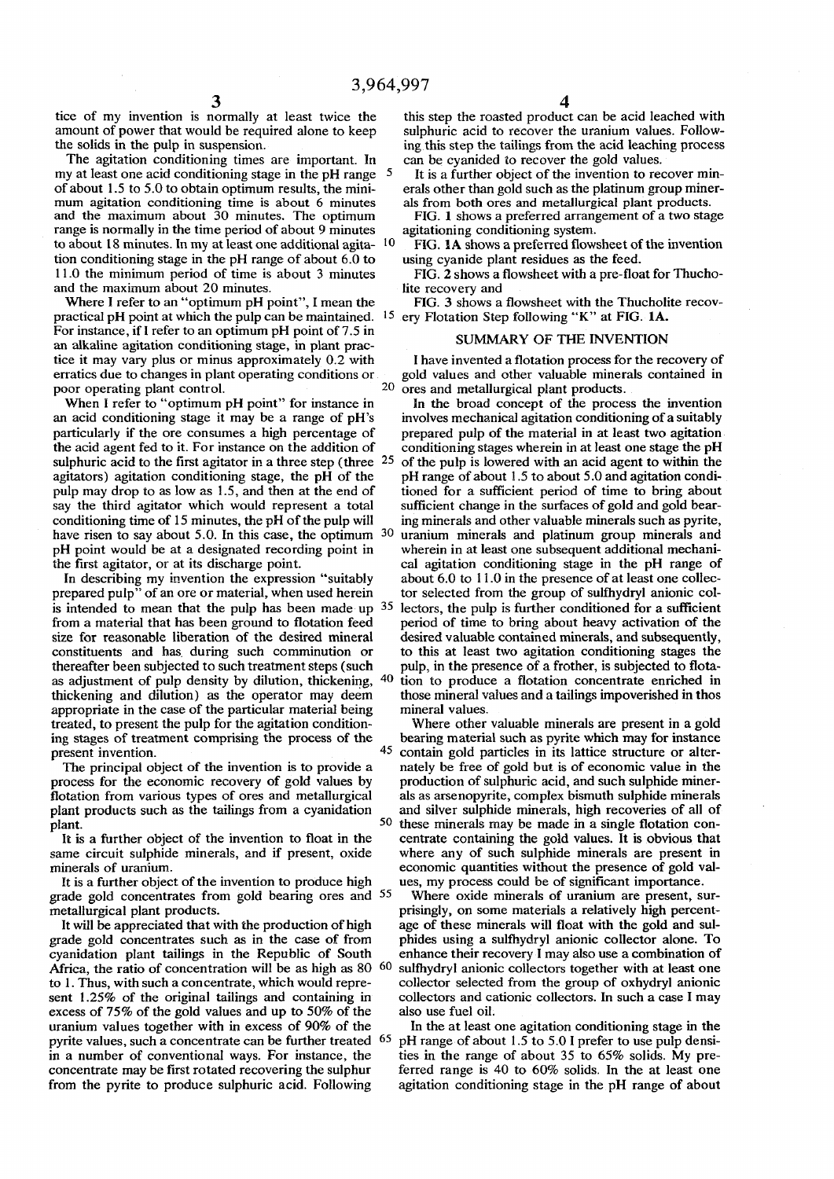**tice of my invention is normally at least twice the amount of power that would be required alone to keep the solids in the pulp in suspension.** 

**The agitation conditioning times are important. In my at least one acid conditioning stage in the pH range 5 of about 1.5 to 5.0 to obtain optimum results, the minimum agitation conditioning time is about 6 minutes and the maximum about 30 minutes. The optimum range is normally in the time period of about 9 minutes to about 18 minutes. In my at least one additional agita- 1 0 tion conditioning stage in the pH range of about 6.0 to 11.0 the minimum period of time is about 3 minutes and the maximum about 20 minutes.** 

**Where I refer to an "optimum pH point", I mean the practical pH point at which the pulp can be maintained. 1 5 ery Flotation Step following "K" at FIG. 1A. For instance, if I refer to an optimum pH point of 7.5 in an alkaline agitation conditioning stage, in plant practice it may vary plus or minus approximately 0.2 with erratics due to changes in plant operating conditions or poor operating plant control.**

**When I refer to "optimum pH point" for instance in an acid conditioning stage it may be a range of pH's particularly if the ore consumes a high percentage of the acid agent fed to it. For instance on the addition of sulphuric acid to the first agitator in a three step (three 25 agitators) agitation conditioning stage, the pH of the pulp may drop to as low as 1.5, and then at the end of say the third agitator which would represent a total conditioning time of 15 minutes, the pH of the pulp will have risen to say about 5.0. In this case, the optimum 30 pH point would be at a designated recording point in the first agitator, or at its discharge point.** 

**In describing my invention the expression "suitably prepared pulp" of an ore or material, when used herein**  is intended to mean that the pulp has been made up <sup>35</sup> **from a material that has been ground to flotation feed size for reasonable liberation of the desired mineral constituents and has during such comminution or thereafter been subjected to such treatment steps (such as adjustment of pulp density by dilution, thickening, 4 0 thickening and dilution) as the operator may deem appropriate in the case of the particular material being treated, to present the pulp for the agitation condition**ing stages of treatment comprising the process of the **present invention.**

**The principal object of the invention is to provide a process for the economic recovery of gold values by flotation from various types of ores and metallurgical plant products such as the tailings from a cyanidation plant.**  $\frac{1}{2}$  **50** 

**It is a further object of the invention to float in the same circuit sulphide minerals, and if present, oxide minerals of uranium.** 

**It is a farther object of the invention to produce high grade gold concentrates from gold bearing ores and 5 5 metallurgical plant products.** 

**It will be appreciated that with the production of high grade gold concentrates such as in the case of from cyanidation plant tailings in the Republic of South Africa, the ratio of concentration will be as high as 80 60 to 1. Thus, with such a concentrate, which would represent 1.25% of the original tailings and containing in excess of 75% of the gold values and up to 50% of the uranium values together with in excess of 90% of the pyrite values, such a concentrate can be further treated** <sup>65</sup> **in a number of conventional ways. For instance, the concentrate may be first rotated recovering the sulphur from the pyrite to produce sulphuric acid. Following** 

**this step the roasted product can be acid leached with sulphuric acid to recover the uranium values. Following this step the tailings from the acid leaching process can be cyanided to recover the gold values.** 

**It is a further object of the invention to recover minerals other than gold such as the platinum group minerals from both ores and metallurgical plant products.** 

**FIG. 1 shows a preferred arrangement of a two stage agitationing conditioning system.** 

**FIG. 1A shows a preferred flowsheet of the invention using cyanide plant residues as the feed.** 

**FIG. 2 shows a flowsheet with a pre-float for Thucholite recovery and** 

**FIG. 3 shows a flowsheet with the Thucholite recov-**

### **SUMMARY OF THE INVENTION**

**I have invented a flotation process for the recovery of gold values and other valuable minerals contained in ores and metallurgical plant products.** 

**In the broad concept of the process the invention involves mechanical agitation conditioning of a suitably prepared pulp of the material in at least two agitation conditioning stages wherein in at least one stage the pH of the pulp is lowered with an acid agent to within the pH range of about 1.5 to about 5.0 and agitation conditioned for a sufficient period of time to bring about sufficient change in the surfaces of gold and gold bearing minerals and other valuable minerals such as pyrite, uranium minerals and platinum group minerals and wherein in at least one subsequent additional mechanical agitation conditioning stage in the pH range of about 6.0 to 11.0 in the presence of at least one collector selected from the group of sulfhydryl anionic collectors, the pulp is further conditioned for a sufficient period of time to bring about heavy activation of the desired valuable contained minerals, and subsequently, to this at least two agitation conditioning stages the pulp, in the presence of a frother, is subjected to flotation to produce a flotation concentrate enriched in those mineral values and a tailings impoverished in thos mineral values.** 

**Where other valuable minerals are present in a gold bearing material such as pyrite which may for instance contain gold particles in its lattice structure or alternately be free of gold but is of economic value in the production of sulphuric acid, and such sulphide minerals as arsenopyrite, complex bismuth sulphide minerals and silver sulphide minerals, high recoveries of all of these minerals may be made in a single flotation concentrate containing the gold values. It is obvious that where any of such sulphide minerals are present in economic quantities without the presence of gold values, my process could be of significant importance.** 

**Where oxide minerals of uranium are present, surprisingly, on some materials a relatively high percentage of these minerals will float with the gold and sulphides using a sulfhydryl anionic collector alone. To enhance their recovery I may also use a combination of sulfhydryl anionic collectors together with at least one collector selected from the group of oxhydryl anionic collectors and cationic collectors. In such a case I may also use fuel oil.** 

**In the at least one agitation conditioning stage in the pH range of about 1.5 to 5.0 I prefer to use pulp densities in the range of about 35 to 65% solids. My preferred range is 40 to 60% solids. In the at least one agitation conditioning stage in the pH range of about**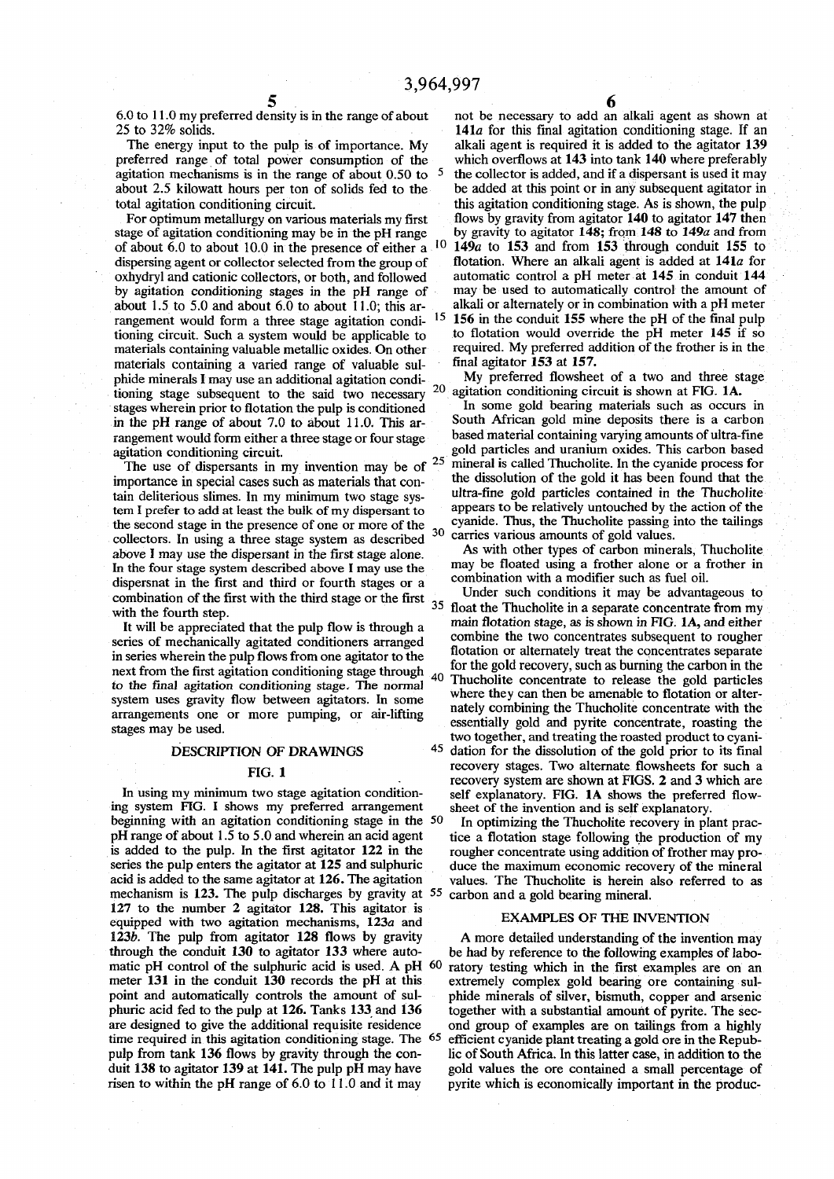**agitation mechanisms is in the range of about 0.50 to**

stage of agitation conditioning may be in the pH range **of about 6.0 to about 10.0 in the presence of either a<sup>1</sup> <sup>0</sup>** oxhydryl and cationic collectors, or both, and followed **rangement would form a three stage agitation condi- 15 materials containing a varied range of valuable sul phide minerals I may use an additional agitation condi- My preferred flowsheet of a two and three stage tioning stage subsequent to the said two necessary stages wherein prior to flotation the pulp is conditioned in the pH range of about 7.0 to about 11.0. This ar rangement would form either a three stage or four stage**  $a$ gitation conditioning circuit.

The use of dispersants in my invention may be of  $2$ **importance in special cases such as materials that con** tain deliterious slimes. In my minimum two stage sys-<br>tem I prefer to add at least the bulk of my dispersant to appears to be relatively untouched by the action of the term I prefer to add at least the bulk of my dispersant to appears to be relatively untouched by the action of the <br>the second stage in the presence of one or more of the cyanide. Thus, the Thucholite passing into the tail the second stage in the presence of one or more of the <sub>30</sub> **collectors. In using a three stage system as described above I may use the dispersant in the first stage alone. A\* In the four stage system described above I may use the** dispersnat in the first and third or fourth stages or a combination with a modifier such as fuel oil.<br>
dispersnat in the first and third or fourth stages or a combination of the first with the third stage or the first **combination of the first with the third stage or the first**  $\frac{1}{35}$ 

in series wherein the pulp flows from one agitator to the **next from the first agitation conditioning stage through 4(1 to the final agitation conditioning stage. The normal system uses gravity flow between agitators. In some** stages may be used.

## **DESCRIPTION OF DRAWINGS**

**beginning with an agitation conditioning stage in the 50 pH range of about 1.5 to 5.0 and wherein an acid agent pH range of about 1.5 to 5.0 and wherein an acid agent tice a flotation stage following the production of my**  is added to the pulp. In the first agitator 122 in the rougher concentrate using addition of frother may proseries the pulp enters the agitator at 125 and sulphuric duce the maximum economic recovery of the mineral series the pulp enters the agitator at 125 and sulphuric duce the maximum economic recovery of the mineral acid is added to the same agitator at 126. The agitation values. The Thucholite is herein also referred to as **mechanism is 123. The pulp discharges by gravity at 55 carbon and a gold bearing mineral. 127 to the number 2 agitator 128. This agitator is**  equipped with two agitation mechanisms, 123*a* and **EXAMPLES OF THE INVENTION** 123*b*. The pulp from agitator 128 flows by gravity A more detailed understanding of the inven matic pH control of the sulphuric acid is used. A pH <sup>60</sup> meter 131 in the conduit 130 records the pH at this **time required in this agitation conditioning stage. The 6 5** risen to within the pH range of 6.0 to 11.0 and it may

**6.0 to 11.0 my preferred density is in the range of about not be necessary to add an alkali agent as shown at 25 to 32% solids. 141a for this final agitation conditioning stage. If an**  alkali agent is required it is added to the agitator 139 **preferred range of total power consumption of the which overflows at 143 into tank 140 where preferably <sup>5</sup> the collector is added, and if a dispersant is used it may about 2.5 kilowatt hours per ton of solids fed to the be added at this point or in any subsequent agitator in total agitation conditioning circuit. this agitation conditioning stage. As is shown, the pulp**  For optimum metallurgy on various materials my first flows by gravity from agitator 140 to agitator 147 then age of agitation conditioning may be in the pH range by gravity to agitator 148; from 148 to 149*a* and from  **149c to 153 and from 153 through conduit 155 to**  dispersing agent or collector selected from the group of flotation. Where an alkali agent is added at 141*a* for oxhydryl and cationic collectors, or both, and followed automatic control a pH meter at 145 in conduit 144 **by agitation conditioning stages in the pH range of may be used to automatically control the amount of about 1.5 to 5.0 and about 6.0 to about 11.0; this ar- alkali or alternately or in combination with a pH meter 156 in the conduit 155 where the pH of the final pulp tioning circuit. Such a system would be applicable to to flotation would override the pH meter 145 if so**  materials containing valuable metallic oxides. On other required. My preferred addition of the frother is in the  **finaI agitator 153 at 157.** 

> **2 0 agitation conditioning circuit is shown at FIG. 1A.**

**I I n** some gold bearing materials such as occurs in **South African gold mine deposits there is a carbon based material containing varying amounts of ultra-fine particles and uranium oxides. This carbon based mineral is called Thucholite. In the cyanide process for th e dissolution of the gold it has been found that the 3 0 came s vanou s amounts of gold values,** 

 *with other types of carbon minerals, Thucholite* **here** may be floated using a frother alone or a frother in

with the fourth step.<br> **with the float the float that the pulp flow is through a** main flotation stage, as is shown in FIG. 1A, and either It will be appreciated that the pulp flow is through a main *flotation* stage, as is shown in FIG. 1A, and either rise of mechanically agitated conditioners arranged series of mechanically agitated conditioners arranged<br>in series wherein the pulp flows from one agitator to the<br>flotation or alternately treat the concentrates separate **the gold recovery, such as burning the carbon in the 4 0 Thucholite concentrate to release the gold particles head is the vector of the state in the amenable to flotation or alterarrangements** one or more pumping, or air-lifting nately combining the Thucholite concentrate with the arrangements one or more pumping, or air-lifting nately combining the Thucholite concentrate with the essentially gold and pyrite concentrate, roasting the  **two together, and treating the roasted product to cyani- 4 5 dation for the dissolution of the gold prior to its final FIG. 1** recovery stages. Two alternate flowsheets for such a **PIG.** 1 **recovery system are shown at FIGS. 2 and 3 which are**  In using my minimum two stage agitation condition-<br>ing system FIG. I shows my preferred arrangement sheet of the invention and is self explanatory.

shows the invention and is self explanatory.<br>In optimizing the Thucholite recovery in plant pracvalues. The Thucholite is herein also referred to as

**123b.** The pulp from agitator 128 flows by gravity A more detailed understanding of the invention may through the conduit 130 to agitator 133 where auto-<br>be had by reference to the following examples of labobe had by reference to the following examples of labo-<br>ratory testing which in the first examples are on an meter 131 in the conduit 130 records the pH at this extremely complex gold bearing ore containing sulpoint and automatically controls the amount of sul-<br>
phide minerals of silver, bismuth, copper and arsenic point and automatically controls the amount of sul-<br>
phide minerals of silver, bismuth, copper and arsenic<br>
phuric acid fed to the pulp at 126. Tanks 133 and 136<br>
together with a substantial amount of pyrite. The sec**phuric acid fed to the pulp at 126. Tanks 133 and 136 together with a substantial amount of pyrite. The sec-<br>are designed to give the additional requisite residence ond group of examples are on tailings from a highly** and group of examples are on tailings from a highly  **efficient cyanide plant treating a gold ore in the Repubpulp from tank 136 flows by gravity through the con- lie of South Africa. In this latter case, in addition to the**  gold values the ore contained a small percentage of pyrite which is economically important in the produc-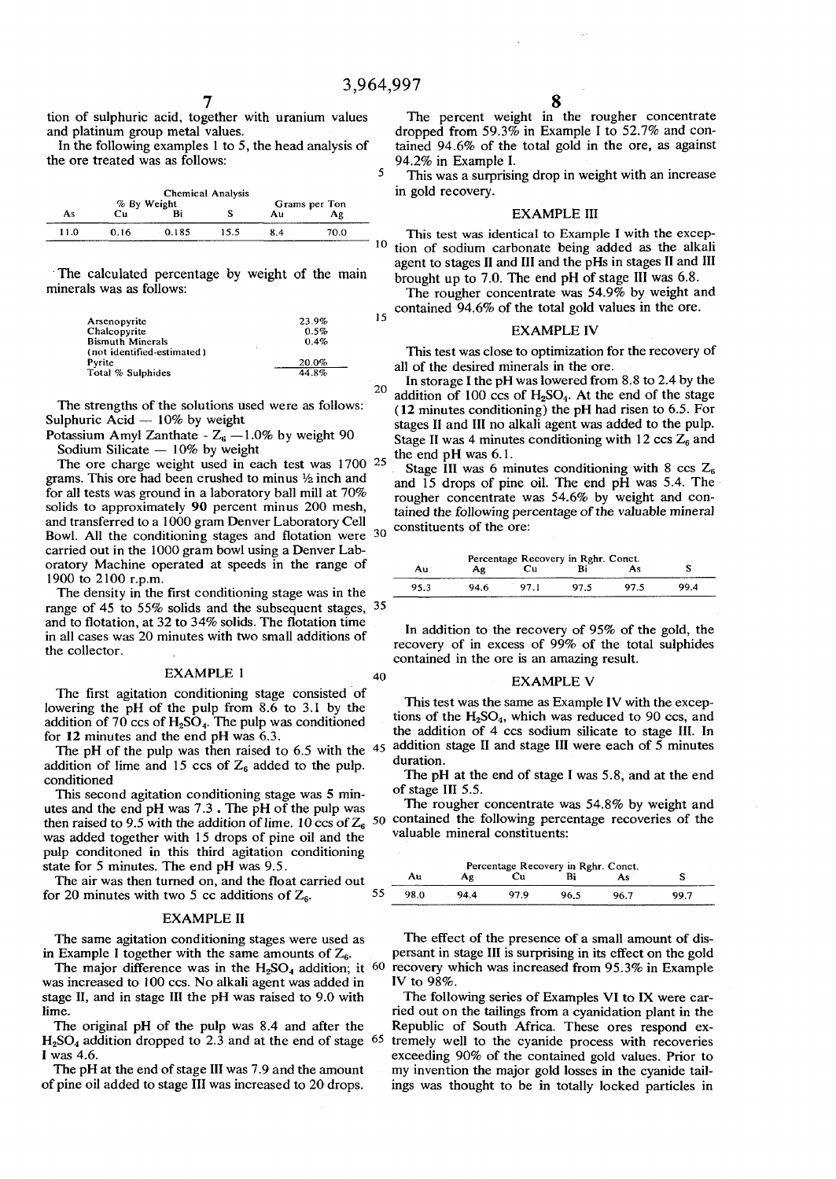$\overline{5}$ 

20

**tion of sulphuric acid, together with uranium values and platinum group metal values.** 

**In the following examples 1 to 5, the head analysis of the ore treated was as follows:** 

| <b>Chemical Analysis</b><br>% By Weight |      |       |      | Grams per Ton |      |  |
|-----------------------------------------|------|-------|------|---------------|------|--|
| As                                      | Cп   |       |      | Aц            | Αg   |  |
| 11.0                                    | 0.16 | 0.185 | 15.5 | 84            | 70.0 |  |

**The calculated percentage by weight of the main minerals was as follows:** 

| Arsenopyrite               | 23.9% |
|----------------------------|-------|
| Chalcopyrite               | 0.5%  |
| <b>Bismuth Minerals</b>    | 0.4%  |
| (not identified-estimated) | ٠     |
| Pyrite                     | 20.0% |
| Total % Sulphides          | 44.8% |

**The strengths of the solutions used were as follows: Sulphuric Acid — 10% by weight** 

Potassium Amyl Zanthate -  $Z_6 - 1.0\%$  by weight 90 **Sodium Silicate — 10% by weight** 

**The ore charge weight used in each test was 1700 25**  grams. This ore had been crushed to minus  $\frac{1}{2}$  inch and **for all tests was ground in a laboratory ball mill at 70% solids to approximately 90 percent minus 200 mesh, and transferred to a 1000 gram Denver Laboratory Cell Bowl. All the conditioning stages and flotation were 30 carried out in the 1000 gram bowl using a Denver Laboratory Machine operated at speeds in the range of 1900 to 2100 r.p.m.** 

**The density in the first conditioning stage was in the range of 45 to 55% solids and the subsequent stages, 35 and to flotation, at 32 to 34% solids. The flotation time in all cases was 20 minutes with two small additions of the collector.** 

## **EXAMPLE 1**

**The first agitation conditioning stage consisted of lowering the pH of the pulp from 8.6 to 3.1 by the addition of 70 ccs of H2S04. The pulp was conditioned for 12 minutes and the end pH was 6.3.** 

**The pH of the pulp was then raised to 6.5 with the**  addition of lime and 15 ccs of  $Z_6$  added to the pulp. **conditioned** 

**This second agitation conditioning stage was 5 minutes and the end pH was 7.3 . The pH of the pulp was then raised to 9.5 with the addition of lime. 10 ccs of Z<sup>6</sup> was added together with 15 drops of pine oil and the pulp conditoned in this third agitation conditioning state for 5 minutes. The end pH was 9.5.** 

**The air was then turned on, and the float carried out**  for 20 minutes with two 5 cc additions of  $Z_6$ .

# **EXAMPLE II**

**The same agitation conditioning stages were used as in Example I together with the same amounts of Z6.** 

**The major difference was in the H2S04 addition; it was increased to 100 ccs. No alkali agent was added in stage II, and in stage III the pH was raised to 9.0 with lime.** 

**The original pH of the pulp was 8.4 and after the H2S04 addition dropped to 2.3 and at the end of stage 65 I was 4.6.** 

**The pH at the end of stage III was 7.9 and the amount of pine oil added to stage III was increased to 20 drops.** 

**The percent weight in the rougher concentrate dropped from 59.3% in Example I to 52.7% and contained 94.6% of the total gold in the ore, as against 94.2% in Example I.** 

**This was a surprising drop in weight with an increase in gold recovery.** 

### **EXAMPLE III**

10 **tion of sodium carbonate being added as the alkali This test was identical to Example I with the excepagent to stages II and III and the pHs in stages II and III brought up to 7.0. The end pH of stage III was 6.8.** 

**15 The rougher concentrate was 54.9% by weight and contained 94.6% of the total gold values in the ore.** 

## **EXAMPLE IV**

**This test was close to optimization for the recovery of all of the desired minerals in the ore.** 

**In storage I the pH was lowered from 8.8 to 2.4 by the addition of 100 ccs of H2S04. At the end of the stage (12 minutes conditioning) the pH had risen to 6.5. For stages II and III no alkali agent was added to the pulp.**  Stage II was 4 minutes conditioning with  $12 \cos Z_6$  and **the end pH was 6.1.** 

**Stage III was 6 minutes conditioning with 8 ccs Z<sup>6</sup> and 15 drops of pine oil. The end pH was 5.4. The rougher concentrate was 54.6% by weight and contained the following percentage of the valuable mineral constituents of the ore:** 

|      |      |     | Percentage Recovery in Rghr. Conct. |      |      |
|------|------|-----|-------------------------------------|------|------|
| Au   | Αg   |     |                                     | As   |      |
| 95.3 | 94 6 | 971 | 97 S                                | 97.5 | 99 4 |

**In addition to the recovery of 95% of the gold, the recovery of in excess of 99% of the total sulphides contained in the ore is an amazing result.** 

# **<sup>40</sup>EXAMPLE V**

**This test was the same as Example IV with the exceptions of the H2S0<sup>4</sup> , which was reduced to 90 ccs, and the addition of 4 ccs sodium silicate to stage III. In**  addition stage II and stage III were each of 5 minutes **duration.** 

**The pH at the end of stage I was 5.8, and at the end of stage III 5.5.** 

**The rougher concentrate was 54.8% by weight and**  50 **contained the following percentage recoveries of the valuable mineral constituents:** 

| Percentage Recovery in Rghr. Conct. |      |      |      |      |      |      |  |
|-------------------------------------|------|------|------|------|------|------|--|
|                                     | Au   | Aε   | Сu   |      | Аs   |      |  |
| 55                                  | 98.0 | 94.4 | 97 Q | 96.5 | 96 7 | 90 7 |  |

**The effect of the presence of a small amount of dispersant in stage III is surprising in its effect on the gold**  recovery which was increased from 95.3% in Example **IV to 98%.** 

**The following series of Examples VI to IX were carried out on the tailings from a cyanidation plant in the Republic of South Africa. These ores respond extremely well to the cyanide process with recoveries exceeding 90% of the contained gold values. Prior to my invention the major gold losses in the cyanide tailings was thought to be in totally locked particles in**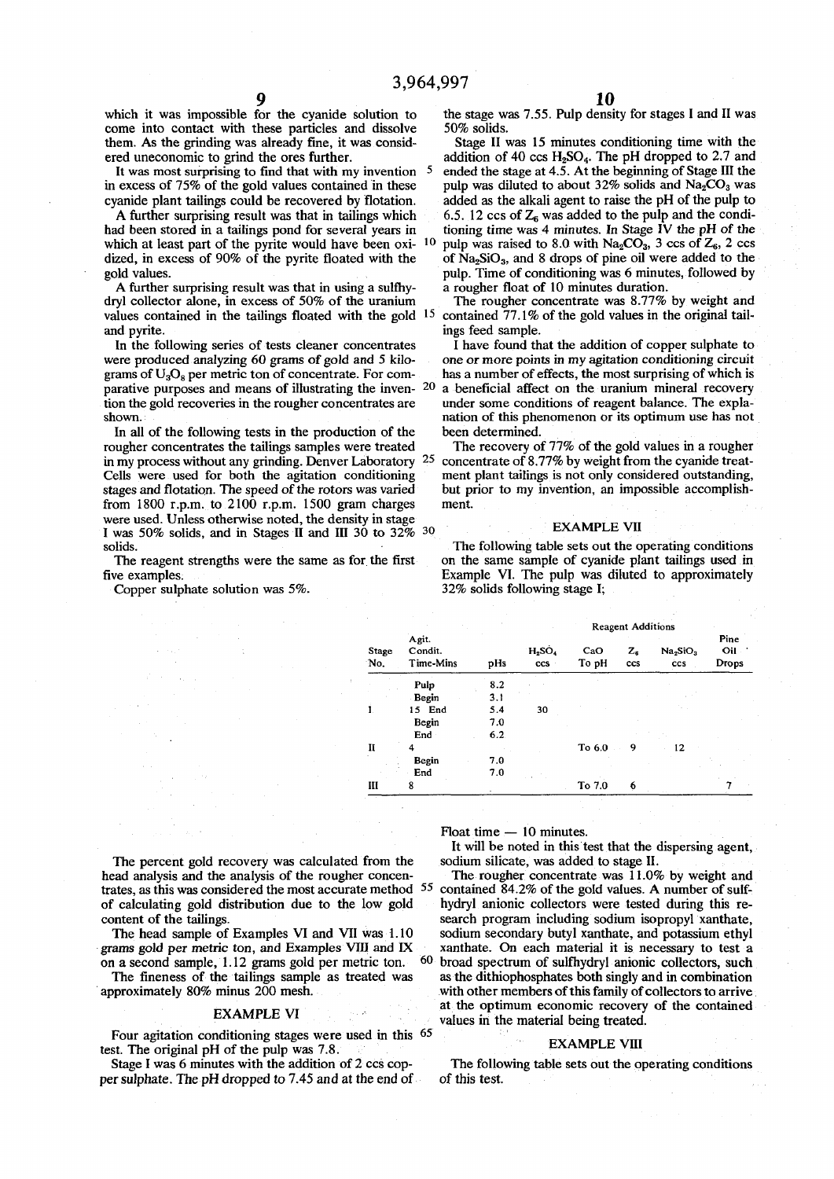**which it was impossible for the cyanide solution to the stage was 7.55. Pulp density for stages I and II was come into contact with these particles and dissolve** 50% solids.<br> **come into contact with the set of the solution** in the stage II was 15 minutes conditioning time with the them. As the grinding was already fine, it was consid-

It was most surprising to find that with my invention <sup>5</sup> in excess of 75% of the gold values contained in these

had been stored in a tailings pond for several years in **which at least part of the pyrite would have been oxi-**

A further surprising result was that in using a sulfhy-<br>dryl collector alone, in excess of 50% of the uranium **values contained in the tailings floated with the gold 15** and pyrite. **ings feed sample.**<br>In the following series of tests cleaner concentrates I have found the

grams of  $U_3O_8$  per metric ton of concentrate. For com**parative purposes and means of illustrating the inven- 2 0**

In all of the following tests in the production of the been determined.<br>
bugher concentrates the tailings samples were treated The recovery of 77% of the gold values in a rougher rougher concentrates the tailings samples were treated **in my process without any grinding. Denver Laboratory 2 5** stages and flotation. The speed of the rotors was varied **from 1800 r.p.m. to 2100 r.p.m. 1500 gram charges ment.**  were used. Unless otherwise noted, the density in stage  $\frac{1}{2}$  **EXAMPLE** VII **I was 50% solids, and in Stages II and III 30 to 32% <sup>30</sup> solids.** 

Copper sulphate solution was 5%.

**9 10** 

**ered uneconomic to grind the ores further. addition of 40 ccs H2S04. The pH dropped to 2.7 and <sup>5</sup> ended the stage at 4.5. At the beginning of Stage III the**  in excess of 75% of the gold values contained in these pulp was diluted to about 32% solids and  $\text{Na}_2\text{CO}_3$  was cyanide plant tailings could be recovered by flotation. added as the alkali agent to raise the pH of the p canide plant tailings could be recovered by flotation. added as the alkali agent to raise the pH of the pulp to  $\overline{A}$  further surprising result was that in tailings which  $\overline{A}$  6.5. 12 ccs of  $\overline{Z}_6$  was added to 6.5. 12 ccs of  $Z_6$  was added to the pulp and the conditioning time was 4 minutes. In Stage IV the pH of the pulp was raised to 8.0 with  $Na_2CO_3$ , 3 ccs of  $Z_6$ , 2 ccs of  $Na_2SiO_3$ , and 8 drops of pine oil were added to the **dized, in excess of 90% of the pyrite floated with the of Na2Si03, and 8 drops of pine oil were added to the**  gold values.<br> **A** further surprising result was that in using a sulfhy-<br>
a rougher float of 10 minutes duration.

The rougher concentrate was 8.77% by weight and  **contained 77.1% of the gold values in the original tail-**

In the following series of tests cleaner concentrates I have found that the addition of copper sulphate to were produced analyzing 60 grams of gold and 5 kilo- one or more points in my agitation conditioning circuit one or more points in my agitation conditioning circuit has a number of effects, the most surprising of which is  **a beneficial affect on the uranium mineral recovery**  tion the gold recoveries in the rougher concentrates are under some conditions of reagent balance. The expla-<br>
nation of this phenomenon or its optimum use has not **shown. nation of this phenomenon or its optimum use has not** 

 **concentrate of 8.77% by weight from the cyanide treat-Cells were used for both the agitation conditioning ment plant tailings is not only considered outstanding, stages and flotation. The speed of the rotors was varied but prior to my invention, an impossible accomplish-**

blids.<br>The following table sets out the operating conditions<br>The reagent strengths were the same as for the first on the same sample of cyanide plant tailings used in The reagent strengths were the same as for the first on the same sample of cyanide plant tailings used in **five examples**. Example VI. The pulp was diluted to approximately **fixample VI.** The pulp was diluted to approximately 32% solids following stage I;

|              |                               |     | <b>Reagent Additions</b> |              |                |                                         |                        |  |
|--------------|-------------------------------|-----|--------------------------|--------------|----------------|-----------------------------------------|------------------------|--|
| Stage<br>No. | Agit.<br>Condit.<br>Time-Mins | pHs | $H_2SO_4$<br>ccs         | CaO<br>To pH | $Z_{s}$<br>ccs | Na <sub>2</sub> SiO <sub>3</sub><br>ccs | Pine<br>Oil :<br>Drops |  |
|              | Pulp                          | 8.2 |                          |              |                |                                         |                        |  |
|              | Begin                         | 3.1 |                          |              |                |                                         |                        |  |
| Í.           | 15 End                        | 5.4 | 30                       |              |                |                                         |                        |  |
|              | Begin                         | 7.0 |                          |              |                |                                         |                        |  |
|              | End                           | 6.2 |                          |              |                |                                         |                        |  |
| $\mathbf{I}$ | 4                             |     |                          | To 6.0       | 9              | 12                                      |                        |  |
|              | Begin                         | 7.0 |                          |              |                |                                         |                        |  |
|              | End                           | 7.0 |                          |              |                |                                         |                        |  |
| Ш            | 8                             |     |                          | To 7.0       | 6              |                                         |                        |  |

**The percent gold recovery was calculated from the sodium silicate, was added to stage II. head analysis and the analysis of the rougher concen- The rougher concentrate was 11.0% by weight and trates, as this was considered the most accurate method 5 5 of calculating gold distribution due to the low gold hydryl anionic collectors were tested during this re-**

**on a second sample, 1.12 grams gold per metric ton.**

### **EXAMPLE VI**

**Four agitation conditioning stages were used in this 6 5 test. The original pH of the pulp was 7.8.** 

**per sulphate. The pH dropped to 7.45 and at the end of of this test.** 

**Float time — 10 minutes.** 

**It will be noted in this test that the dispersing agent,** 

 **contained 84.2% of the gold values. A number of sulf**content of the tailings.<br>The head sample of Examples VI and VII was 1.10 sodium secondary butyl xanthate, and potassium ethyl The head sample of Examples VI and VII was 1.10 sodium secondary butyl xanthate, and potassium ethyl grams gold per metric ton, and Examples VIII and IX xanthate. On each material it is necessary to test a xanthate. On each material it is necessary to test a  **6 0 broad spectrum of sulfhydryl anionic collectors, such**  The fineness of the tailings sample as treated was as the dithiophosphates both singly and in combination approximately 80% minus 200 mesh. with other members of this family of collectors to arrive **at the optimum economic recovery of the contained values in the material being treated.** 

### **EXAMPLE VIII**

**Stage I was 6 minutes with the addition of 2 ccs cop- The following table sets out the operating conditions**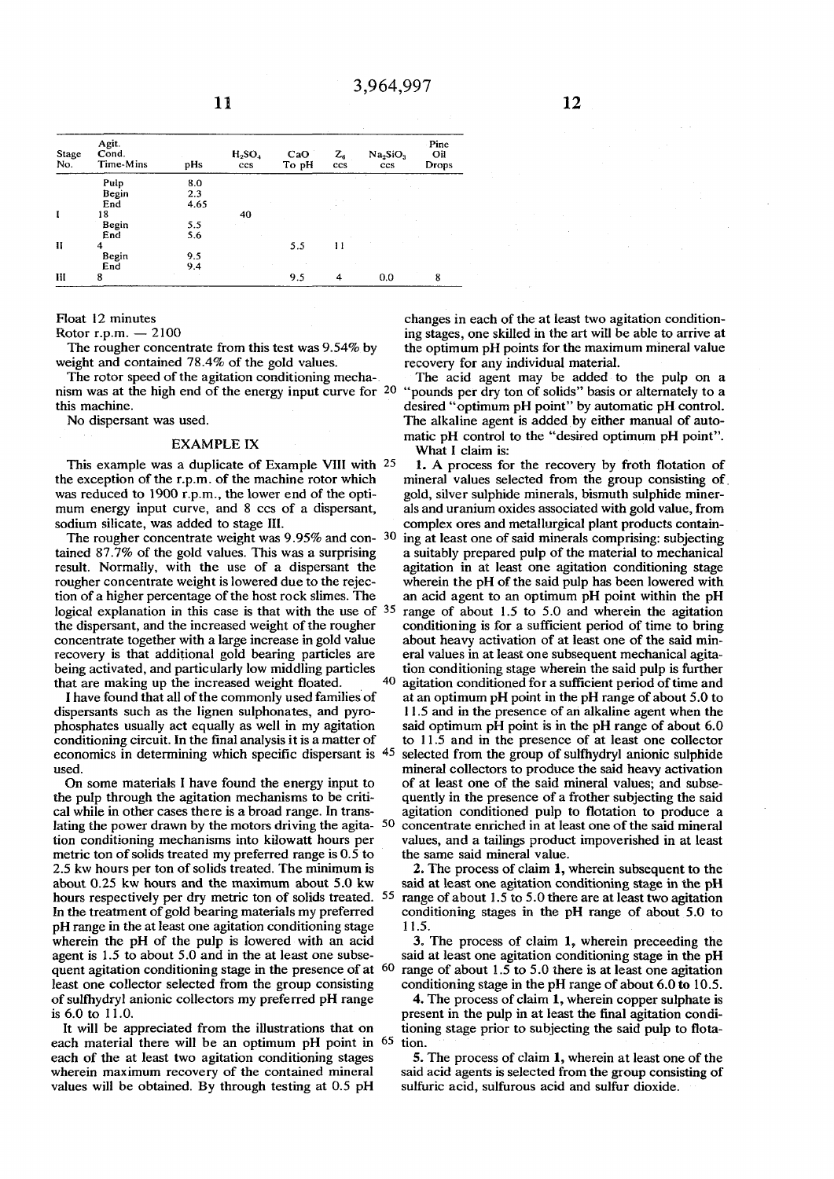| Stage<br>No. | Agit.<br>Cond.<br>Time-Mins | pHs  | $H_2SO_4$<br>ccs | CaO<br>To pH | $Z_{\epsilon}$<br>ccs | Na <sub>2</sub> SiO <sub>3</sub><br>ccs | Pine<br>Oil<br><b>Drops</b> |
|--------------|-----------------------------|------|------------------|--------------|-----------------------|-----------------------------------------|-----------------------------|
|              | Pulp                        | 8.0  |                  |              |                       |                                         |                             |
|              | Begin                       | 2.3  |                  |              |                       |                                         |                             |
|              | End                         | 4.65 |                  |              |                       |                                         |                             |
|              | 18                          |      | 40               |              |                       |                                         |                             |
|              | Begin                       | 5.5  |                  |              |                       |                                         |                             |
|              | End                         | 5.6  |                  |              |                       |                                         |                             |
| $\mathbf{H}$ | 4                           |      |                  | 5.5          | 11                    |                                         |                             |
|              | Begin                       | 9.5  |                  |              |                       |                                         |                             |
|              | End                         | 9.4  |                  |              |                       |                                         |                             |
| Ш            | 8                           |      |                  | 9.5          | 4                     | 0.0                                     | 8                           |

**Float 12 minutes** 

**Rotor r.p.m. — 2100** 

**The rougher concentrate from this test was 9.54% by weight and contained 78.4% of the gold values.** 

**The rotor speed of the agitation conditioning mechanism was at the high end of the energy input curve for 2 0 this machine.** 

**No dispersant was used.** 

## **EXAMPLE IX**

This example was a duplicate of Example VIII with 25 **the exception of the r.p.m. of the machine rotor which was reduced to 1900 r.p.m., the lower end of the optimum energy input curve, and 8 ccs of a dispersant, sodium silicate, was added to stage III.** 

**The rougher concentrate weight was 9.95% and con- 3 0 tained 87.7% of the gold values. This was a surprising result. Normally, with the use of a dispersant the rougher concentrate weight is lowered due to the rejection of a higher percentage of the host rock slimes. The logical explanation in this case is that with the use of 35 the dispersant, and the increased weight of the rougher concentrate together with a large increase in gold value recovery is that additional gold bearing particles are being activated, and particularly low middling particles that are making up the increased weight floated. 4 0** 

**I have found that all of the commonly used families of dispersants such as the Iignen sulphonates, and pyrophosphates usually act equally as well in my agitation conditioning circuit. In the final analysis it is a matter of economics in determining which specific dispersant is 4 5 used.** 

**On some materials I have found the energy input to the pulp through the agitation mechanisms to be critical while in other cases there is a broad range. In translating the power drawn by the motors driving the agita- 5 0 tion conditioning mechanisms into kilowatt hours per metric ton of solids treated my preferred range is 0.5 to 2.5 kw hours per ton of solids treated. The minimum is about 0.25 kw hours and the maximum about 5.0 kw hours respectively per dry metric ton of solids treated. 5 5 In the treatment of gold bearing materials my preferred pH range in the at least one agitation conditioning stage wherein the pH of the pulp is lowered with an acid agent is 1.5 to about 5.0 and in the at least one subsequent agitation conditioning stage in the presence of at 6 0 least one collector selected from the group consisting of sulfhydryl anionic collectors my preferred pH range is 6.0 to 11.0.** 

**It will be appreciated from the illustrations that on each material there will be an optimum pH point in 6 5 each of the at least two agitation conditioning stages wherein maximum recovery of the contained mineral values will be obtained. By through testing at 0.5 pH** 

**changes in each of the at least two agitation conditioning stages, one skilled in the art will be able to arrive at the optimum pH points for the maximum mineral value recovery for any individual material.** 

**The acid agent may be added to the pulp on a "pounds per dry ton of solids" basis or alternately to a desired "optimum pH point" by automatic pH control. The alkaline agent is added by either manual of automatic pH control to the "desired optimum pH point". What I claim is:** 

**1. A process for the recovery by froth flotation of mineral values selected from the group consisting of gold, silver sulphide minerals, bismuth sulphide minerals and uranium oxides associated with gold value, from complex ores and metallurgical plant products containing at least one of said minerals comprising: subjecting a suitably prepared pulp of the material to mechanical agitation in at least one agitation conditioning stage wherein the pH of the said pulp has been lowered with an acid agent to an optimum pH point within the pH range of about 1.5 to 5.0 and wherein the agitation conditioning is for a sufficient period of time to bring about heavy activation of at least one of the said mineral values in at least one subsequent mechanical agitation conditioning stage wherein the said pulp is further agitation conditioned for a sufficient period of time and at an optimum pH point in the pH range of about 5.0 to 11.5 and in the presence of an alkaline agent when the said optimum pH point is in the pH range of about 6.0 to 11.5 and in the presence of at least one collector selected from the group of sulfhydryl anionic sulphide** 

**mineral collectors to produce the said heavy activation of at least one of the said mineral values; and subsequently in the presence of a frother subjecting the said agitation conditioned pulp to flotation to produce a concentrate enriched in at least one of the said mineral values, and a tailings product impoverished in at least the same said mineral value.** 

**2. The process of claim 1, wherein subsequent to the said at least one agitation conditioning stage in the pH range of about 1.5 to 5.0 there are at least two agitation conditioning stages in the pH range of about 5.0 to 11.5.** 

**3. The process of claim 1, wherein preceeding the said at least one agitation conditioning stage in the pH range of about 1.5 to 5.0 there is at least one agitation conditioning stage in the pH range of about 6.0 to 10.5.** 

**4. The process of claim 1, wherein copper sulphate is present in the pulp in at least the final agitation conditioning stage prior to subjecting the said pulp to flotation.** 

**5. The process of claim 1, wherein at least one of the said acid agents is selected from the group consisting of sulfuric acid, sulfurous acid and sulfur dioxide.**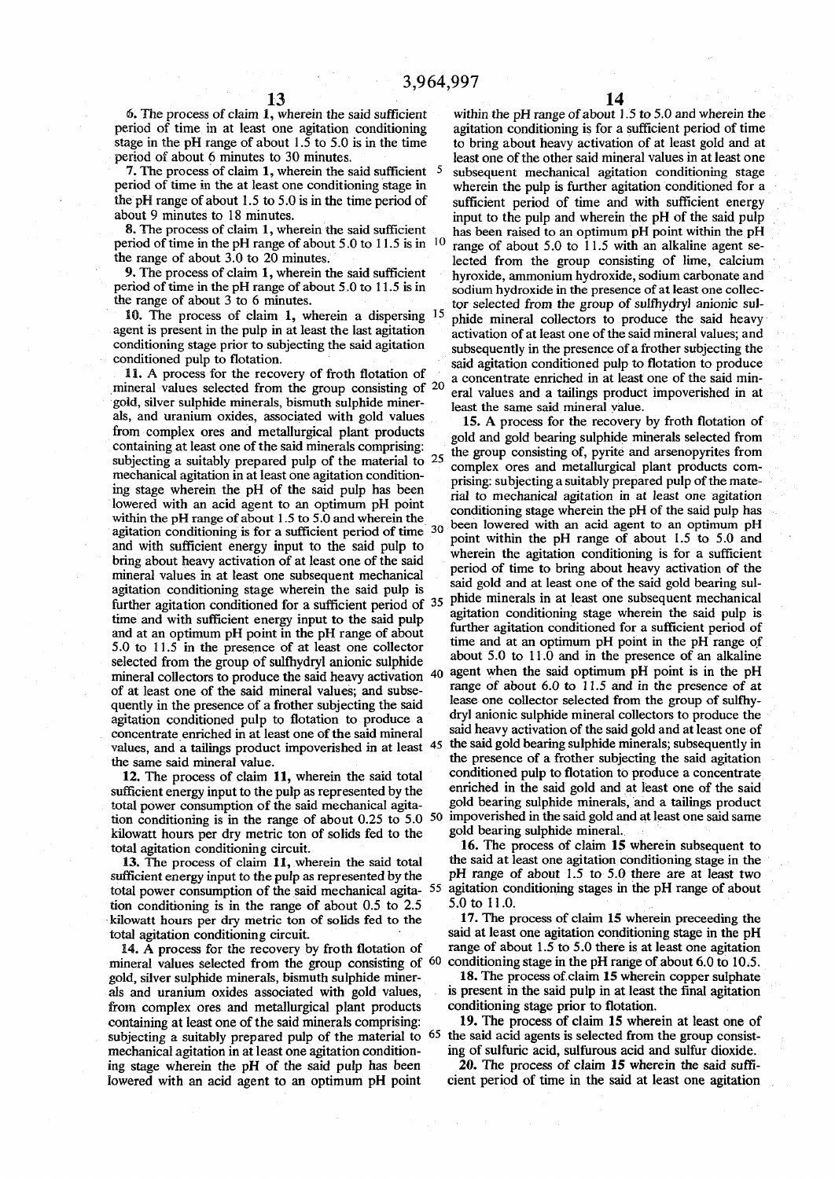**7.** The process of claim 1, wherein the said sufficient <sup>5</sup> period of time in the at least one conditioning stage in

**mineral values selected from the group consisting of <sup>20</sup>** gold, silver sulphide minerals, bismuth sulphide miner-<br>least the same said mineral value. als, and uranium oxides, associated with gold values **15.** A process for the recovery by froth flotation of containing at least one of the said minerals comprising: the group consisting of, pyrite and arsenopyrites from mechanical agitation in at least one agitation condition-<br>ing stage, wherein, the pH of the said pulp has been **ing stage wherein the pH of the said pulp has been ^ ^ mec lowered with an acid agent to an optimum pH point** within the pH range of about  $1.5$  to  $5.0$  and wherein the  $\frac{1}{2}$  been lowered with an acid **Example 6.** about 1.5 to 5.0 and wherein the 30 been lowered with an acid agent to an optimum pH agitation conditioning is for a sufficient period of time 30 point within the pH range of about 1.5 to 5.0 and and with sufficient energy input to the said pulp to **b**ring about heavy activation of at least one of the said mineral values in at least one subsequent mechanical agitation conditioning stage wherein the said pulp is further agitation conditioned for a sufficient period of  $35$  <sup>pn</sup> time and with sufficient energy input to the said pulp time and with sufficient energy input to the said pulp<br>and at an ontimum nH point in the nH range of about turther and at an optimum pH point in the pH range of about<br>5.0 to 11.5 in the presence of at least one collector **5.0 to 11.5 in the presence of at least one collector selected from the group of sulfhydryl anionic sulphide** mineral collectors to produce the said heavy activation <sup>40</sup> of at least one of the said mineral values; and subse**quently in the presence of a frother subjecting the said agitation conditioned pulp to flotation to produce a dry' anionic sulphide mineral collectors to produce the concentrate enriched in at least one of the said mineral the same said mineral value.**

sufficient energy input to the pulp as represented by the total power consumption of the said mechanical agita**tion conditioning is in the range of about 0.25 to 5.0 50 impoverished in the said gold and at least one said same kilowatt hours per dry metric ton of solids fed to the g° <sup>l</sup> <sup>d</sup> total agitation conditioning circuit. 16**

sufficient energy input to the pulp as represented by the pH range of about 1.5 to 5.0 there are at least two conditioning stages in the pH range of about  $\frac{1}{2}$ total power consumption of the said mechanical agita-  $55$  agitation conditioning is in the range of about  $0.5$  to  $2.5$   $5.0$  to  $11.0$ . tion conditioning is in the range of about 0.5 to 2.5 5.0 to 11.0.<br>
kilowatt hours per dry metric ton of solids fed to the 17. The process of claim 15 wherein preceeding the kilowatt hours per dry metric ton of solids fed to the

14. A process for the recovery by froth flotation of range of about 1.5 to 5.0 there is at least one agitation ineral values selected from the group consisting of <sup>60</sup> conditioning stage in the pH range of about 6.0 to 10. mineral values selected from the group consisting of <sup>60</sup> conditioning stage in the pH range of about 6.0 to 10.5. gold, silver sulphide minerals, bismuth sulphide miner-<br>**18.** The process of claim 15 wherein copper sulpha **gold, silver sulphide minerals, bismuth sulphide miner- 18. The process of claim 15 wherein copper sulphate als and uranium oxides associated with gold values, is present in the said pulp in at least the final agitation from complex ores and metallurgical plant products conditioning stage prior to flotation.**  containing at least one of the said minerals comprising: **19.** The process of claim 15 wherein at least one of **subjecting a suitably prepared pulp of the material to 6 5** mechanical agitation in at least one agitation condition-<br>ing of sulfurce acid, sulfurous acid and sulfur dioxide.<br>**20.** The process of claim 15 wherein the said suffi-<br> $\frac{1}{2}$ ing stage wherein the pH of the said pulp has been **lowered with an acid agent to an optimum pH point cient period of time in the said at least one agitation** 

**6. The process of claim 1, wherein the said sufficient within the pH range of about 1.5 to 5.0 and wherein the period of time in at least one agitation conditioning agitation conditioning is for a sufficient period of time stage in the pH range of about 1.5 to 5.0 is in the time to bring about heavy activation of at least gold and at**  least one of the other said mineral values in at least one **<sup>5</sup> subsequent mechanical agitation conditioning stage period of time in the at least one conditioning stage in wherein the pulp is further agitation conditioned for a**  sufficient period of time and with sufficient energy about 9 minutes to 18 minutes.<br>**8.** The process of claim 1, wherein the said sufficient has been raised to an optimum pH point within the pH has been raised to an optimum pH point within the pH **period of time in the pH range of about 5.0 to 11.5 is in <sup>10</sup> range of about 5.0 to 11.5 with an alkaline agent se-<br>the range of about 3.0 to 20 minutes. the range of about 3.0 to 20 minutes.** lected from the group consisting of lime, calcium<br>**9.** The process of claim 1, wherein the said sufficient by proxide, ammonium hydroxide, sodium carbonate and **9.** The process of claim 1, wherein the said sufficient hyroxide, ammonium hydroxide, sodium carbonate and period of time in the pH range of about 5.0 to 11.5 is in sodium hydroxide in the presence of at least one collecsodium hydroxide in the presence of at least one collecthe range of about 3 to 6 minutes.<br> **10.** The process of claim 1, wherein a dispersing <sup>15</sup> phide mineral collectors to produce the said heavy 10. The process of claim 1, wherein a dispersing <sup>15</sup> phide mineral collectors to produce the said heavy agent is present in the pulp in at least the last agitation of a least one of the said mineral values and activation of at least one of the said mineral values; and conditioning stage prior to subjecting the said agitation subsequently in the presence of a frother subjecting the conditioned pulp to flotation conductions of pulp to flotation to produce **conditioned pulp to flotation.**<br>**11.** A process for the recovery of froth flotation of a concentrate orighed in at least one of the said min-**11. A process for the recovery of froth flotation of \_ a concentrate enriched in at least one of the said min**eral values and a tailings product impoverished in at

from complex ores and metallurgical plant products gold and gold bearing sulphide minerals selected from subjecting a suitably prepared pulp of the material to  $25$  and  $\frac{1}{25}$  consisting of, pyrice and a semplyints rom-<br>mechanical agitation in at least one agitation condition-<br>rising subjecting a suitably prepared pulp o **hanic | , agltatio n i n a t leas <sup>t</sup> one agitation**  conditioning stage wherein the pH of the said pulp has **here** is the same purp random  $\frac{1}{2}$  soon following the nH range of about 1.5 to 5.0 and  **r** wherein the agitation conditioning is for a sufficient period of time to bring about heavy activation of the said gold and at least one of the said gold bearing sulagitation conditioning stage wherein the said pulp is **de** minerals in at least one subsequent mechanical further agitation conditioned for a sufficient period of **time and at an optimum pH point in the pH range of the and at an optimum pH point m and pH range of**  $\frac{1}{2}$  **about 5.0 to 11.0 and in the presence of an alkaline**  $\mu$  **b o 11.0** and in the presence of an antanni **e** of about 6.0 to 11.5 and in the presence of  $\mathbf{F}$  **Iease one collector selected from the group of sulfhysaid heavy activation of the said gold and at least one of <br>
<b>All the said gold heavier which we have all the same of the boundary of the said gold and at least one of**  $\frac{1}{2}$ values, and a tailings product impoverished in at least 45 the said gold bearing sulphide minerals; subsequently in the same cold mineral value  **presence of a frother subjecting the said agitation 12.** The process of claim 11, wherein the said total conditioned pulp to flotation to produce a concentrate  $\frac{1}{2}$  conditioned pulp to flotation to produce a concentrate  $\frac{1}{2}$  conditioned in the said gold and at le  **bearing sulphide minerals, and a tailings product bearing sulphide mineral.** 

16. The process of claim 15 wherein subsequent to the said at least one agitation conditioning stage in the **13.** The process of claim 11, wherein the said total the said at least one agitation conditioning stage in the <br>flicient energy input to the pulp as represented by the pH range of about 1.5 to 5.0 there are at least two

**total agitation conditioning circuit. said at least one agitation conditioning stage in the pH** 

 **the said acid agents is selected from the group consist-**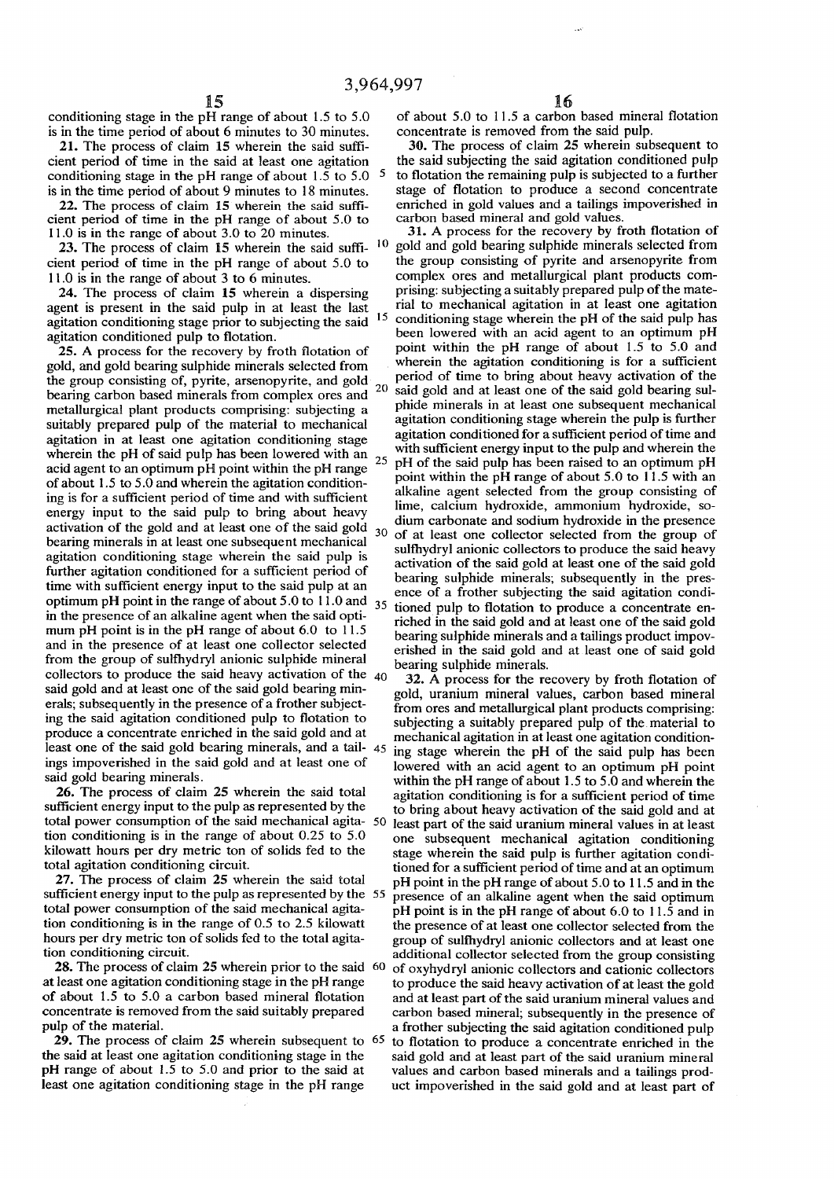**conditioning stage in the pH range of about 1.5 to 5.0 is in the time period of about 6 minutes to 30 minutes.** 

**21. The process of claim 15 wherein the said sufficient period of time in the said at least one agitation conditioning stage in the pH range of about 1.5 to 5.0 5 is in the time period of about 9 minutes to 18 minutes.** 

**22. The process of claim 15 wherein the said sufficient period of time in the pH range of about 5.0 to 11.0 is in the range of about 3.0 to 20 minutes.** 

**23. The process of claim 15 wherein the said suffi cient period of time in the pH range of about 5.0 to 11.0 is in the range of about 3 to 6 minutes.** 

**24. The process of claim 15 wherein a dispersing agent is present in the said pulp in at least the last agitation conditioning stage prior to subjecting the said agitation conditioned pulp to flotation.** 

**25. A process for the recovery by froth flotation of gold, and gold bearing sulphide minerals selected from the group consisting of, pyrite, arsenopyrite, and gold**   $20$ **bearing carbon based minerals from complex ores and metallurgical plant products comprising: subjecting a suitably prepared pulp of the material to mechanical agitation in at least one agitation conditioning stage wherein the pH of said pulp has been lowered with an<sup>2</sup> <sup>5</sup> acid agent to an optimum pH point within the pH range of about 1.5 to 5.0 and wherein the agitation conditioning is for a sufficient period of time and with sufficient energy input to the said pulp to bring about heavy**  activation of the gold and at least one of the said gold  $30$ **bearing minerals in at least one subsequent mechanical agitation conditioning stage wherein the said pulp is further agitation conditioned for a sufficient period of time with sufficient energy input to the said pulp at an optimum pH point in the range of about 5.0 to 11.0 and** <sup>35</sup> **in the presence of an alkaline agent when the said optimum pH point is in the pH range of about 6.0 to 11.5 and in the presence of at least one collector selected from the group of sulfhydryl anionic sulphide mineral collectors to produce the said heavy activation of the 40 said gold and at least one of the said gold bearing minerals; subsequently in the presence of a frother subjecting the said agitation conditioned pulp to flotation to produce a concentrate enriched in the said gold and at least one of the said gold bearing minerals, and a tail-** 45 **ings impoverished in the said gold and at least one of said gold bearing minerals.** 

**26. The process of claim 25 wherein the said total sufficient energy input to the pulp as represented by the tion conditioning is in the range of about 0.25 to 5.0 kilowatt hours per dry metric ton of solids fed to the total agitation conditioning circuit.** 

**27. The process of claim 25 wherein the said total sufficient energy input to the pulp as represented by the 55 total power consumption of the said mechanical agitation conditioning is in the range of 0.5 to 2.5 kilowatt hours per dry metric ton of solids fed to the total agitation conditioning circuit.** 

**28. The process of claim 25 wherein prior to the said 60 at least one agitation conditioning stage in the pH range of about 1.5 to 5.0 a carbon based mineral flotation concentrate is removed from the said suitably prepared pulp of the material.** 

**29. The process of claim 25 wherein subsequent to 65 the said at least one agitation conditioning stage in the pH range of about 1.5 to 5.0 and prior to the said at least one agitation conditioning stage in the pH range** 

**of about 5.0 to 11.5 a carbon based mineral flotation concentrate is removed from the said pulp.** 

**30. The process of claim 25 wherein subsequent to the said subjecting the said agitation conditioned pulp to flotation the remaining pulp is subjected to a fiirther stage of flotation to produce a second concentrate enriched in gold values and a tailings impoverished in carbon based mineral and gold values.** 

 **1 0 15 31. A process for the recovery by froth flotation of gold and gold bearing sulphide minerals selected from the group consisting of pyrite and arsenopyrite from complex ores and metallurgical plant products comprising: subjecting a suitably prepared pulp of the material to mechanical agitation in at least one agitation conditioning stage wherein the pH of the said pulp has been lowered with an acid agent to an optimum pH point within the pH range of about 1.5 to 5.0 and wherein the agitation conditioning is for a sufficient period of time to bring about heavy activation of the said gold and at least one of the said gold bearing sulphide minerals in at least one subsequent mechanical agitation conditioning stage wherein the pulp is further agitation conditioned for a sufficient period of time and with sufficient energy input to the pulp and wherein the pH of the said pulp has been raised to an optimum pH point within the pH range of about 5.0 to 11.5 with an alkaline agent selected from the group consisting of lime, calcium hydroxide, ammonium hydroxide, sodium carbonate and sodium hydroxide in the presence of at least one collector selected from the group of sulfhydryl anionic collectors to produce the said heavy activation of the said gold at least one of the said gold bearing sulphide minerals; subsequently in the presence of a frother subjecting the said agitation conditioned pulp to flotation to produce a concentrate enriched in the said gold and at least one of the said gold bearing sulphide minerals and a tailings product impoverished in the said gold and at least one of said gold bearing sulphide minerals.** 

**total power consumption of the said mechanical agita- 50 least part of the said uranium mineral values in at least 32. A process for the recovery by froth flotation of gold, uranium mineral values, carbon based mineral from ores and metallurgical plant products comprising: subjecting a suitably prepared pulp of the material to mechanical agitation in at least one agitation conditioning stage wherein the pH of the said pulp has been lowered with an acid agent to an optimum pH point within the pH range of about 1.5 to 5.0 and wherein the agitation conditioning is for a sufficient period of time to bring about heavy activation of the said gold and at one subsequent mechanical agitation conditioning stage wherein the said pulp is further agitation conditioned for a sufficient period of time and at an optimum pH point in the pH range of about 5.0 to 11.5 and in the presence of an alkaline agent when the said optimum pH point is in the pH range of about 6.0 to 11.5 and in the presence of at least one collector selected from the group of sulfhydryl anionic collectors and at least one additional collector selected from the group consisting of oxyhydryl anionic collectors and cationic collectors to produce the said heavy activation of at least the gold and at least part of the said uranium mineral values and carbon based mineral; subsequently in the presence of a frother subjecting the said agitation conditioned pulp to flotation to produce a concentrate enriched in the said gold and at least part of the said uranium mineral values and carbon based minerals and a tailings product impoverished in the said gold and at least part of**